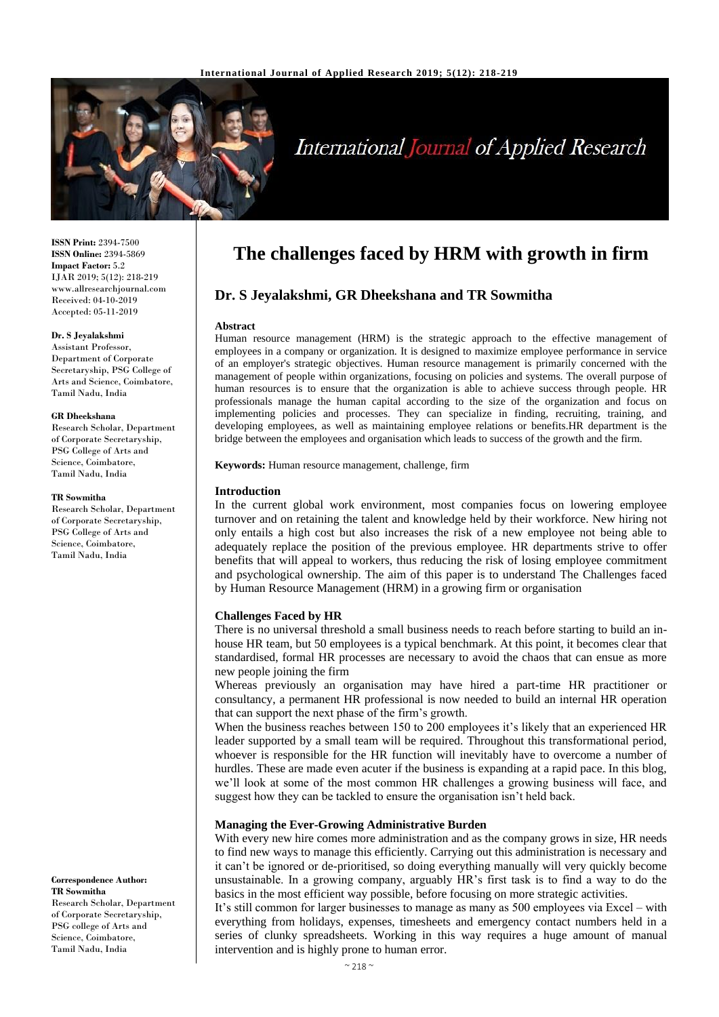

# **International Journal of Applied Research**

**ISSN Print:** 2394-7500 **ISSN Online:** 2394-5869 **Impact Factor:** 5.2 IJAR 2019; 5(12): 218-219 www.allresearchjournal.com Received: 04-10-2019 Accepted: 05-11-2019

#### **Dr. S Jeyalakshmi**

Assistant Professor, Department of Corporate Secretaryship, PSG College of Arts and Science, Coimbatore, Tamil Nadu, India

#### **GR Dheekshana**

Research Scholar, Department of Corporate Secretaryship, PSG College of Arts and Science, Coimbatore, Tamil Nadu, India

#### **TR Sowmitha**

Research Scholar, Department of Corporate Secretaryship, PSG College of Arts and Science, Coimbatore, Tamil Nadu, India

**Correspondence Author: TR Sowmitha** Research Scholar, Department of Corporate Secretaryship, PSG college of Arts and

Science, Coimbatore, Tamil Nadu, India

# **The challenges faced by HRM with growth in firm**

# **Dr. S Jeyalakshmi, GR Dheekshana and TR Sowmitha**

# **Abstract**

Human resource management (HRM) is the strategic approach to the effective management of employees in a company or organization. It is designed to maximize employee performance in service of an employer's strategic objectives. Human resource management is primarily concerned with the management of people within organizations, focusing on policies and systems. The overall purpose of human resources is to ensure that the organization is able to achieve success through people. HR professionals manage the human capital according to the size of the organization and focus on implementing policies and processes. They can specialize in finding, recruiting, training, and developing employees, as well as maintaining employee relations or benefits.HR department is the bridge between the employees and organisation which leads to success of the growth and the firm.

**Keywords:** Human resource management, challenge, firm

#### **Introduction**

In the current global work environment, most companies focus on lowering employee turnover and on retaining the talent and knowledge held by their workforce. New hiring not only entails a high cost but also increases the risk of a new employee not being able to adequately replace the position of the previous employee. HR departments strive to offer benefits that will appeal to workers, thus reducing the risk of losing employee commitment and psychological ownership. The aim of this paper is to understand The Challenges faced by Human Resource Management (HRM) in a growing firm or organisation

## **Challenges Faced by HR**

There is no universal threshold a small business needs to reach before starting to build an inhouse HR team, but 50 employees is a typical benchmark. At this point, it becomes clear that standardised, formal HR processes are necessary to avoid the chaos that can ensue as more new people joining the firm

Whereas previously an organisation may have hired a part-time HR practitioner or consultancy, a permanent HR professional is now needed to build an internal HR operation that can support the next phase of the firm's growth.

When the business reaches between 150 to 200 employees it's likely that an experienced HR leader supported by a small team will be required. Throughout this transformational period, whoever is responsible for the HR function will inevitably have to overcome a number of hurdles. These are made even acuter if the business is expanding at a rapid pace. In this blog, we'll look at some of the most common HR challenges a growing business will face, and suggest how they can be tackled to ensure the organisation isn't held back.

## **Managing the Ever-Growing Administrative Burden**

With every new hire comes more administration and as the company grows in size, HR needs to find new ways to manage this efficiently. Carrying out this administration is necessary and it can't be ignored or de-prioritised, so doing everything manually will very quickly become unsustainable. In a growing company, arguably HR's first task is to find a way to do the basics in the most efficient way possible, before focusing on more strategic activities.

It's still common for larger businesses to manage as many as 500 employees via Excel – with everything from holidays, expenses, timesheets and emergency contact numbers held in a series of clunky spreadsheets. Working in this way requires a huge amount of manual intervention and is highly prone to human error.